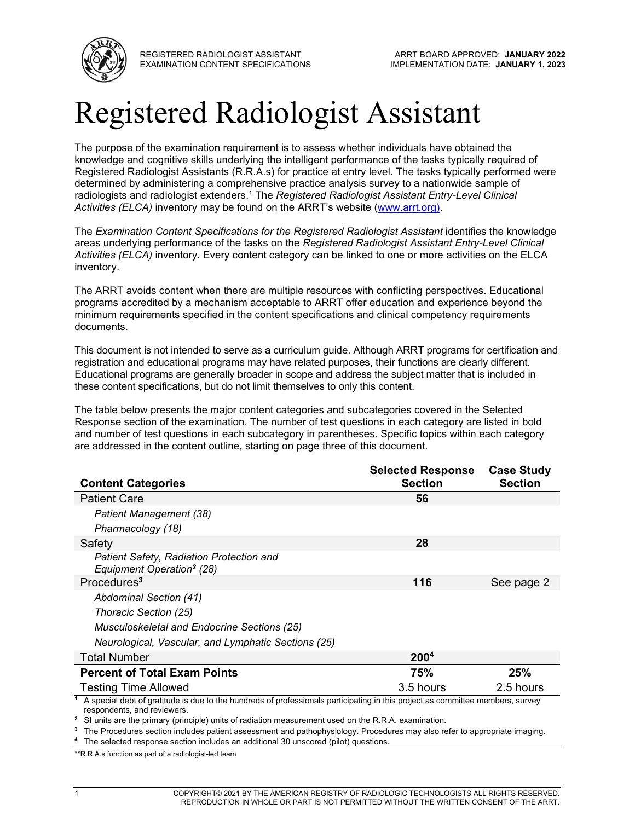

REGISTERED RADIOLOGIST ASSISTANT EXAMINATION CONTENT SPECIFICATIONS

# Registered Radiologist Assistant

The purpose of the examination requirement is to assess whether individuals have obtained the knowledge and cognitive skills underlying the intelligent performance of the tasks typically required of Registered Radiologist Assistants (R.R.A.s) for practice at entry level. The tasks typically performed were determined by administering a comprehensive practice analysis survey to a nationwide sample of radiologists and radiologist extenders.<sup>1</sup> The *Registered Radiologist Assistant Entry-Level Clinical Activities (ELCA)* inventory may be found on the ARRT's website [\(www.arrt.org\)](http://www.arrt.org/).

The *Examination Content Specifications for the Registered Radiologist Assistant identifies the knowledge* areas underlying performance of the tasks on the *Registered Radiologist Assistant Entry-Level Clinical Activities (ELCA)* inventory*.* Every content category can be linked to one or more activities on the ELCA inventory.

The ARRT avoids content when there are multiple resources with conflicting perspectives. Educational programs accredited by a mechanism acceptable to ARRT offer education and experience beyond the minimum requirements specified in the content specifications and clinical competency requirements documents.

This document is not intended to serve as a curriculum guide. Although ARRT programs for certification and registration and educational programs may have related purposes, their functions are clearly different. Educational programs are generally broader in scope and address the subject matter that is included in these content specifications, but do not limit themselves to only this content.

The table below presents the major content categories and subcategories covered in the Selected Response section of the examination. The number of test questions in each category are listed in bold and number of test questions in each subcategory in parentheses. Specific topics within each category are addressed in the content outline, starting on page three of this document.

|                                                                                                                                                                            | <b>Selected Response</b> | <b>Case Study</b> |
|----------------------------------------------------------------------------------------------------------------------------------------------------------------------------|--------------------------|-------------------|
| <b>Content Categories</b>                                                                                                                                                  | <b>Section</b>           | <b>Section</b>    |
| <b>Patient Care</b>                                                                                                                                                        | 56                       |                   |
| Patient Management (38)                                                                                                                                                    |                          |                   |
| Pharmacology (18)                                                                                                                                                          |                          |                   |
| Safety                                                                                                                                                                     | 28                       |                   |
| Patient Safety, Radiation Protection and<br>Equipment Operation <sup>2</sup> (28)                                                                                          |                          |                   |
| Procedures <sup>3</sup>                                                                                                                                                    | 116                      | See page 2        |
| Abdominal Section (41)                                                                                                                                                     |                          |                   |
| Thoracic Section (25)                                                                                                                                                      |                          |                   |
| Musculoskeletal and Endocrine Sections (25)                                                                                                                                |                          |                   |
| Neurological, Vascular, and Lymphatic Sections (25)                                                                                                                        |                          |                   |
| <b>Total Number</b>                                                                                                                                                        | 200 <sup>4</sup>         |                   |
| <b>Percent of Total Exam Points</b>                                                                                                                                        | 75%                      | 25%               |
| <b>Testing Time Allowed</b>                                                                                                                                                | 3.5 hours                | 2.5 hours         |
| <sup>1</sup> A special debt of gratitude is due to the hundreds of professionals participating in this project as committee members, survey<br>respondents, and reviewers. |                          |                   |

**<sup>2</sup>** SI units are the primary (principle) units of radiation measurement used on the R.R.A. examination.

**<sup>3</sup>** The Procedures section includes patient assessment and pathophysiology. Procedures may also refer to appropriate imaging.

**<sup>4</sup>** The selected response section includes an additional 30 unscored (pilot) questions.

\*\*R.R.A.s function as part of a radiologist-led team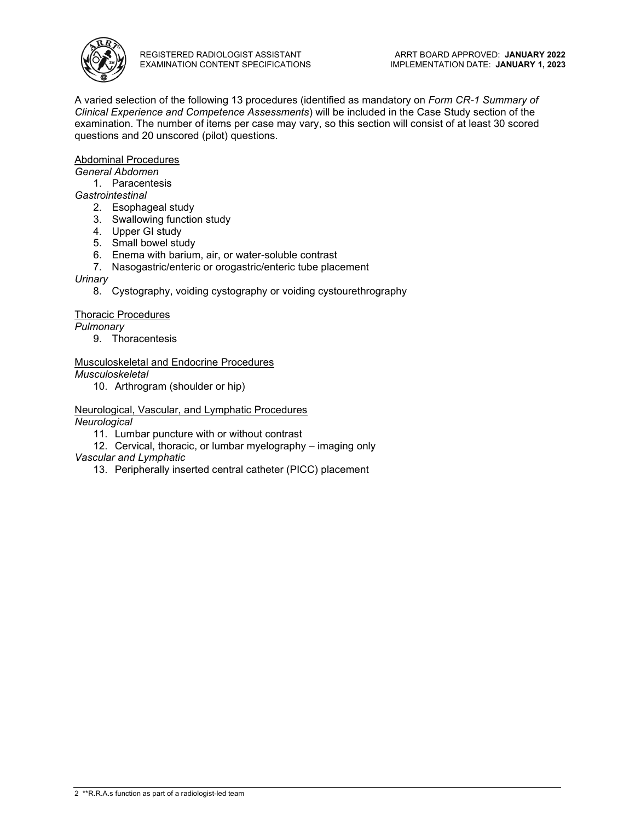

A varied selection of the following 13 procedures (identified as mandatory on *Form CR-1 Summary of Clinical Experience and Competence Assessments*) will be included in the Case Study section of the examination. The number of items per case may vary, so this section will consist of at least 30 scored questions and 20 unscored (pilot) questions.

#### Abdominal Procedures

*General Abdomen*

1. Paracentesis

*Gastrointestinal*

- 2. Esophageal study
- 3. Swallowing function study
- 4. Upper GI study
- 5. Small bowel study
- 6. Enema with barium, air, or water-soluble contrast
- 7. Nasogastric/enteric or orogastric/enteric tube placement

#### *Urinary*

8. Cystography, voiding cystography or voiding cystourethrography

#### Thoracic Procedures

*Pulmonary*

9. Thoracentesis

#### Musculoskeletal and Endocrine Procedures

*Musculoskeletal*

10. Arthrogram (shoulder or hip)

Neurological, Vascular, and Lymphatic Procedures *Neurological*

11. Lumbar puncture with or without contrast

12. Cervical, thoracic, or lumbar myelography – imaging only

*Vascular and Lymphatic* 

13. Peripherally inserted central catheter (PICC) placement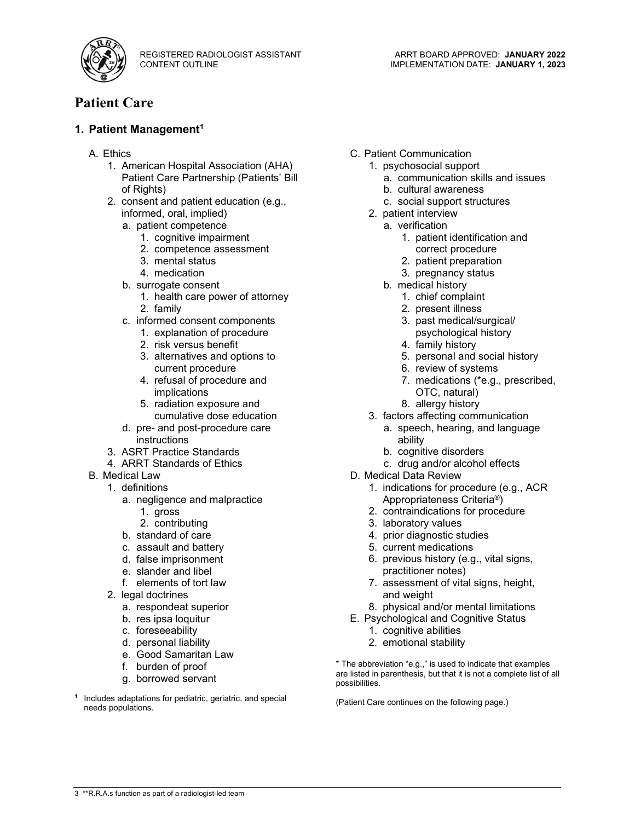

## **Patient Care**

#### **1. Patient Management<sup>1</sup>**

- A. Ethics
	- 1. American Hospital Association (AHA) Patient Care Partnership (Patients' Bill of Rights)
	- 2. consent and patient education (e.g., informed, oral, implied)
		- a. patient competence
			- 1. cognitive impairment
			- 2. competence assessment
			- 3. mental status
			- 4. medication
		- b. surrogate consent
			- 1. health care power of attorney 2. family
		- c. informed consent components
			- 1. explanation of procedure
			- 2. risk versus benefit
			- 3. alternatives and options to current procedure
			- 4. refusal of procedure and implications
			- 5. radiation exposure and cumulative dose education
		- d. pre- and post-procedure care instructions
	- 3. ASRT Practice Standards
	- 4. ARRT Standards of Ethics
- **B.** Medical Law
	- 1. definitions
		- a. negligence and malpractice
			- 1. gross
			- 2. contributing
		- b. standard of care
		- c. assault and battery
		- d. false imprisonment
		- e. slander and libel
		- f. elements of tort law
	- 2. legal doctrines
		- a. respondeat superior
		- b. res ipsa loquitur
		- c. foreseeability
		- d. personal liability
		- e. Good Samaritan Law
		- f. burden of proof
		- g. borrowed servant
- **<sup>1</sup>** Includes adaptations for pediatric, geriatric, and special needs populations.
- C. Patient Communication
	- 1. psychosocial support
		- a. communication skills and issues
		- b. cultural awareness
		- c. social support structures
	- 2. patient interview
		- a. verification
			- 1. patient identification and
			- correct procedure
			- 2. patient preparation
			- 3. pregnancy status
		- b. medical history
			- 1. chief complaint
			- 2. present illness
			- 3. past medical/surgical/ psychological history
			- 4. family history
			- 5. personal and social history
			- 6. review of systems
			- 7. medications (\*e.g., prescribed, OTC, natural)
			- 8. allergy history
	- 3. factors affecting communication
		- a. speech, hearing, and language ability
		- b. cognitive disorders
		- c. drug and/or alcohol effects
- D. Medical Data Review
	- 1. indications for procedure (e.g., ACR Appropriateness Criteria®)
	- 2. contraindications for procedure
	- 3. laboratory values
	- 4. prior diagnostic studies
	- 5. current medications
	- 6. previous history (e.g., vital signs, practitioner notes)
	- 7. assessment of vital signs, height, and weight
	- 8. physical and/or mental limitations
- E. Psychological and Cognitive Status
	- 1. cognitive abilities
	- 2. emotional stability

\* The abbreviation "e.g.," is used to indicate that examples are listed in parenthesis, but that it is not a complete list of all possibilities.

(Patient Care continues on the following page.)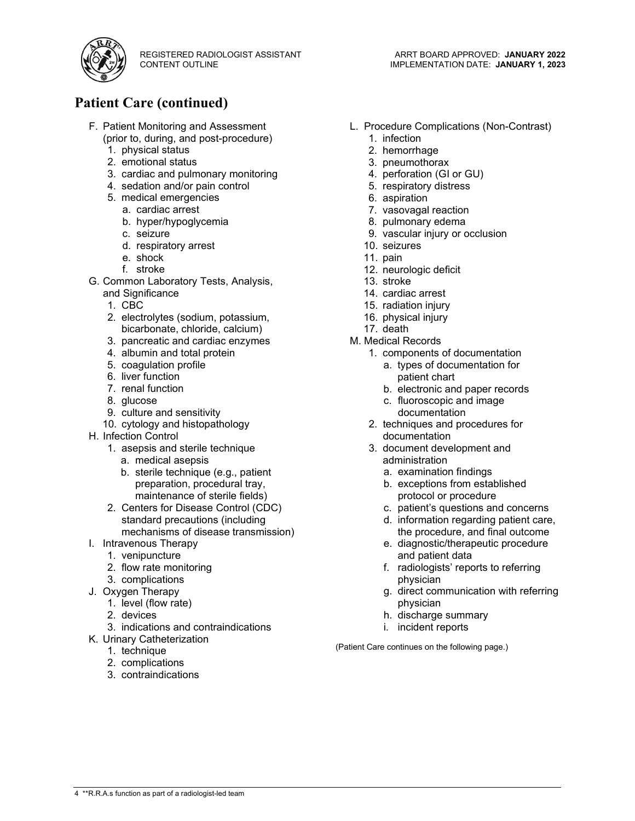

## **Patient Care (continued)**

- F. Patient Monitoring and Assessment (prior to, during, and post-procedure)
	- 1. physical status
	- 2. emotional status
	- 3. cardiac and pulmonary monitoring
	- 4. sedation and/or pain control
	- 5. medical emergencies
		- a. cardiac arrest
		- b. hyper/hypoglycemia
		- c. seizure
		- d. respiratory arrest
		- e. shock
		- f. stroke
- G. Common Laboratory Tests, Analysis,
	- and Significance
	- 1. CBC
	- 2. electrolytes (sodium, potassium, bicarbonate, chloride, calcium)
	- 3. pancreatic and cardiac enzymes
	- 4. albumin and total protein
	- 5. coagulation profile
	- 6. liver function
	- 7. renal function
	- 8. glucose
	- 9. culture and sensitivity
	- 10. cytology and histopathology
- H. Infection Control
	- 1. asepsis and sterile technique
		- a. medical asepsis
		- b. sterile technique (e.g., patient preparation, procedural tray, maintenance of sterile fields)
	- 2. Centers for Disease Control (CDC) standard precautions (including mechanisms of disease transmission)
- I. Intravenous Therapy
	- 1. venipuncture
	- 2. flow rate monitoring
	- 3. complications
- J. Oxygen Therapy
	- 1. level (flow rate)
	- 2. devices
	- 3. indications and contraindications
- K. Urinary Catheterization
	- 1. technique
	- 2. complications
	- 3. contraindications
- L. Procedure Complications (Non-Contrast)
	- 1. infection
	- 2. hemorrhage
	- 3. pneumothorax
	- 4. perforation (GI or GU)
	- 5. respiratory distress
	- 6. aspiration
	- 7. vasovagal reaction
	- 8. pulmonary edema
	- 9. vascular injury or occlusion
	- 10. seizures
	- 11. pain
	- 12. neurologic deficit
	- 13. stroke
	- 14. cardiac arrest
	- 15. radiation injury
	- 16. physical injury
	- 17. death
- M. Medical Records
	- 1. components of documentation a. types of documentation for patient chart
		- b. electronic and paper records
		- c. fluoroscopic and image
		- documentation
	- 2. techniques and procedures for documentation
	- 3. document development and administration
		- a. examination findings
		- b. exceptions from established protocol or procedure
		- c. patient's questions and concerns
		- d. information regarding patient care, the procedure, and final outcome
		- e. diagnostic/therapeutic procedure and patient data
		- f. radiologists' reports to referring physician
		- g. direct communication with referring physician
		- h. discharge summary
		- i. incident reports

(Patient Care continues on the following page.)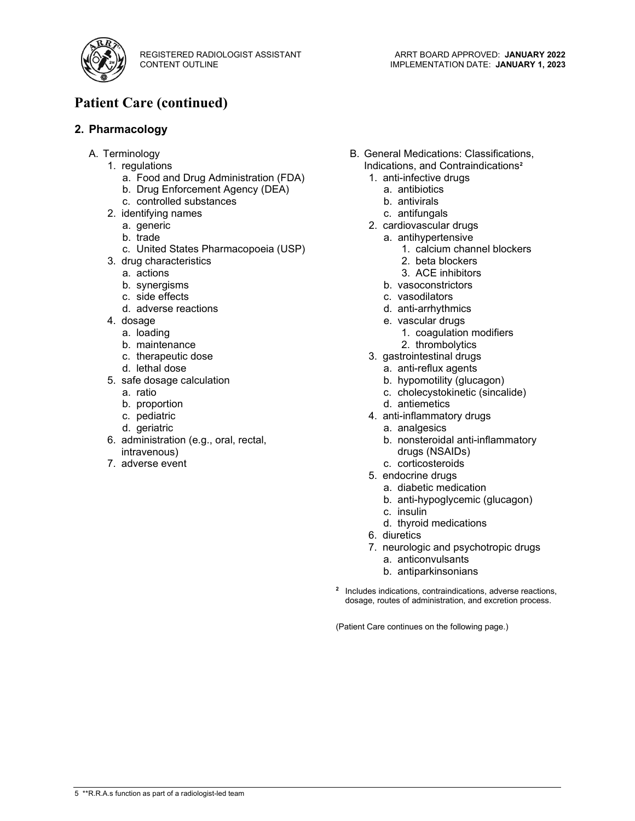

## **Patient Care (continued)**

#### **2. Pharmacology**

- A. Terminology
	- 1. regulations
		- a. Food and Drug Administration (FDA)
		- b. Drug Enforcement Agency (DEA)
		- c. controlled substances
	- 2. identifying names
		- a. generic
		- b. trade
		- c. United States Pharmacopoeia (USP)
	- 3. drug characteristics
		- a. actions
		- b. synergisms
		- c. side effects
		- d. adverse reactions
	- 4. dosage
		- a. loading
		- b. maintenance
		- c. therapeutic dose
		- d. lethal dose
	- 5. safe dosage calculation
		- a. ratio
		- b. proportion
		- c. pediatric
		- d. geriatric
	- 6. administration (e.g., oral, rectal, intravenous)
	- 7. adverse event
- B. General Medications: Classifications, Indications, and Contraindications**<sup>2</sup>**
	- 1. anti-infective drugs
		- a. antibiotics
		- b. antivirals
		- c. antifungals
	- 2. cardiovascular drugs
		- a. antihypertensive
			- 1. calcium channel blockers
			- 2. beta blockers
			- 3. ACE inhibitors
		- b. vasoconstrictors
		- c. vasodilators
		- d. anti-arrhythmics
		- e. vascular drugs
			- 1. coagulation modifiers
			- 2. thrombolytics
	- 3. gastrointestinal drugs
		- a. anti-reflux agents
		- b. hypomotility (glucagon)
		- c. cholecystokinetic (sincalide)
		- d. antiemetics
	- 4. anti-inflammatory drugs
		- a. analgesics
		- b. nonsteroidal anti-inflammatory drugs (NSAIDs)
		- c. corticosteroids
	- 5. endocrine drugs
		- a. diabetic medication
		- b. anti-hypoglycemic (glucagon)
		- c. insulin
		- d. thyroid medications
	- 6. diuretics
	- 7. neurologic and psychotropic drugs
		- a. anticonvulsants
		- b. antiparkinsonians
- **<sup>2</sup>** Includes indications, contraindications, adverse reactions, dosage, routes of administration, and excretion process.

(Patient Care continues on the following page.)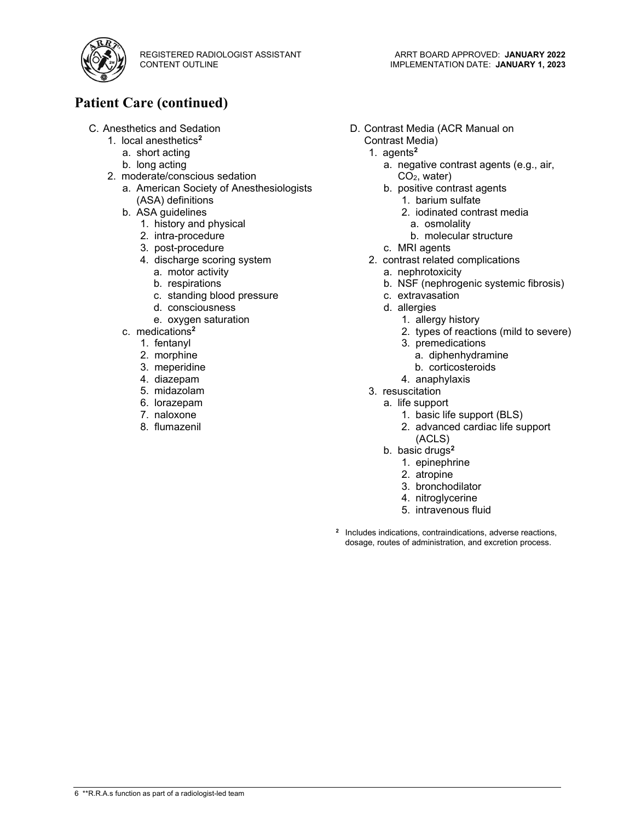

## **Patient Care (continued)**

- C. Anesthetics and Sedation
	- 1. local anesthetics**<sup>2</sup>**
		- a. short acting
		- b. long acting
	- 2. moderate/conscious sedation
		- a. American Society of Anesthesiologists (ASA) definitions
		- b. ASA guidelines
			- 1. history and physical
			- 2. intra-procedure
			- 3. post-procedure
			- 4. discharge scoring system
				- a. motor activity
				- b. respirations
				- c. standing blood pressure
				- d. consciousness
				- e. oxygen saturation
		- c. medications**<sup>2</sup>**
			- 1. fentanyl
			- 2. morphine
			- 3. meperidine
			- 4. diazepam
			- 5. midazolam
			- 6. lorazepam
			- 7. naloxone
			- 8. flumazenil
- D. Contrast Media (ACR Manual on Contrast Media)
	- 1. agents**<sup>2</sup>**
		- a. negative contrast agents (e.g., air, CO2, water)
		- b. positive contrast agents
			- 1. barium sulfate
			- 2. iodinated contrast media
				- a. osmolality
			- b. molecular structure
		- c. MRI agents
	- 2. contrast related complications
		- a. nephrotoxicity
		- b. NSF (nephrogenic systemic fibrosis)
		- c. extravasation
		- d. allergies
			- 1. allergy history
			- 2. types of reactions (mild to severe)
			- 3. premedications
				- a. diphenhydramine
				- b. corticosteroids
			- 4. anaphylaxis
	- 3. resuscitation
	- a. life support
		- 1. basic life support (BLS)
		- 2. advanced cardiac life support (ACLS)
		- b. basic drugs**<sup>2</sup>**
			- 1. epinephrine
			- 2. atropine
			- 3. bronchodilator
			- 4. nitroglycerine
			- 5. intravenous fluid
- **<sup>2</sup>** Includes indications, contraindications, adverse reactions, dosage, routes of administration, and excretion process.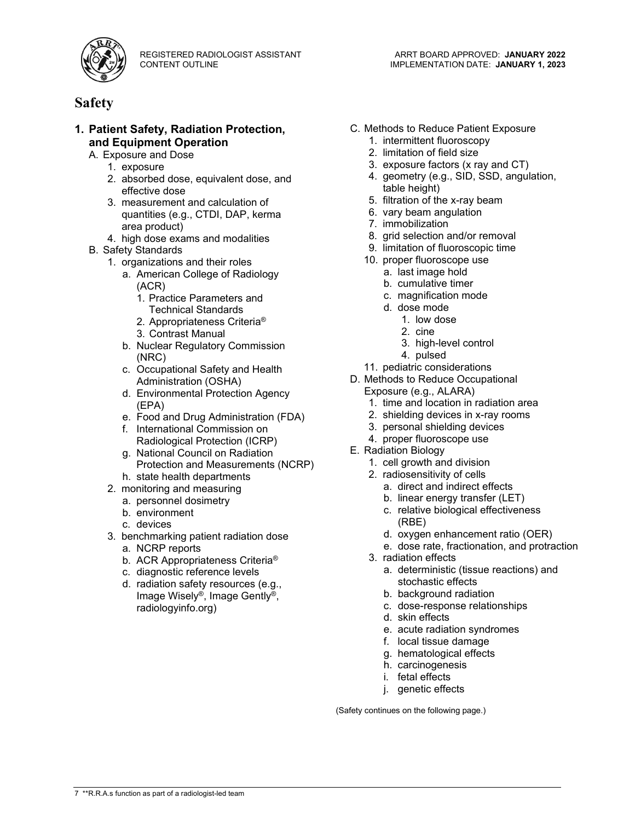

### **Safety**

#### **1. Patient Safety, Radiation Protection, and Equipment Operation**

- A. Exposure and Dose
	- 1. exposure
	- 2. absorbed dose, equivalent dose, and effective dose
	- 3. measurement and calculation of quantities (e.g., CTDI, DAP, kerma area product)
	- 4. high dose exams and modalities
- B. Safety Standards
	- 1. organizations and their roles
		- a. American College of Radiology (ACR)
			- 1. Practice Parameters and Technical Standards
			- 2. Appropriateness Criteria®
			- 3. Contrast Manual
		- b. Nuclear Regulatory Commission (NRC)
		- c. Occupational Safety and Health Administration (OSHA)
		- d. Environmental Protection Agency (EPA)
		- e. Food and Drug Administration (FDA)
		- f. International Commission on Radiological Protection (ICRP)
		- g. National Council on Radiation Protection and Measurements (NCRP)
	- h. state health departments 2. monitoring and measuring
		- a. personnel dosimetry
		- b. environment
		- c. devices
	- 3. benchmarking patient radiation dose
		- a. NCRP reports
		- b. ACR Appropriateness Criteria®
		- c. diagnostic reference levels
		- d. radiation safety resources (e.g., Image Wisely®, Image Gently®, radiologyinfo.org)
- C. Methods to Reduce Patient Exposure
	- 1. intermittent fluoroscopy
	- 2. limitation of field size
	- 3. exposure factors (x ray and CT)
	- 4. geometry (e.g., SID, SSD, angulation, table height)
	- 5. filtration of the x-ray beam
	- 6. vary beam angulation
	- 7. immobilization
	- 8. grid selection and/or removal
	- 9. limitation of fluoroscopic time
	- 10. proper fluoroscope use
		- a. last image hold
		- b. cumulative timer
		- c. magnification mode
		- d. dose mode
			- 1. low dose
				- 2. cine
			- 3. high-level control
			- 4. pulsed
	- 11. pediatric considerations
- D. Methods to Reduce Occupational
	- Exposure (e.g., ALARA)
	- 1. time and location in radiation area
	- 2. shielding devices in x-ray rooms
	- 3. personal shielding devices
	- 4. proper fluoroscope use
- E. Radiation Biology
	- 1. cell growth and division
	- 2. radiosensitivity of cells
		- a. direct and indirect effects
		- b. linear energy transfer (LET)
		- c. relative biological effectiveness (RBE)
		- d. oxygen enhancement ratio (OER)
		- e. dose rate, fractionation, and protraction
	- 3. radiation effects
		- a. deterministic (tissue reactions) and stochastic effects
		- b. background radiation
		- c. dose-response relationships
		- d. skin effects
		- e. acute radiation syndromes
		- f. local tissue damage
		- g. hematological effects
		- h. carcinogenesis
		- i. fetal effects
		- j. genetic effects

(Safety continues on the following page.)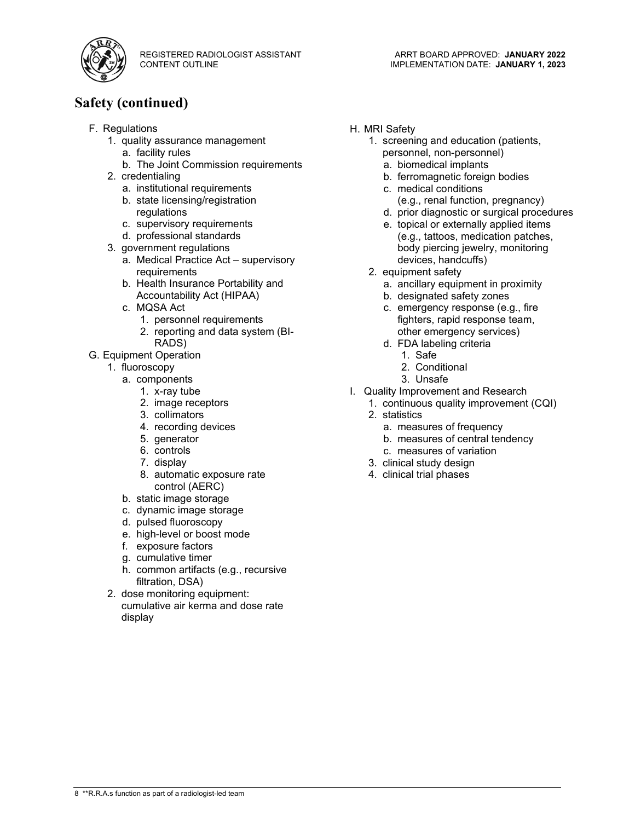

## **Safety (continued)**

- F. Regulations
	- 1. quality assurance management
		- a. facility rules
		- b. The Joint Commission requirements
	- 2. credentialing
		- a. institutional requirements
		- b. state licensing/registration regulations
		- c. supervisory requirements
		- d. professional standards
	- 3. government regulations
		- a. Medical Practice Act supervisory requirements
		- b. Health Insurance Portability and Accountability Act (HIPAA)
		- c. MQSA Act
			- 1. personnel requirements
			- 2. reporting and data system (BI-RADS)
- G. Equipment Operation
	- 1. fluoroscopy
		- a. components
			- 1. x-ray tube
			- 2. image receptors
			- 3. collimators
			- 4. recording devices
			- 5. generator
			- 6. controls
			- 7. display
			- 8. automatic exposure rate control (AERC)
		- b. static image storage
		- c. dynamic image storage
		- d. pulsed fluoroscopy
		- e. high-level or boost mode
		- f. exposure factors
		- g. cumulative timer
		- h. common artifacts (e.g., recursive filtration, DSA)
	- 2. dose monitoring equipment: cumulative air kerma and dose rate display
- H. MRI Safety
	- 1. screening and education (patients, personnel, non-personnel)
		- a. biomedical implants
		- b. ferromagnetic foreign bodies
		- c. medical conditions (e.g., renal function, pregnancy)
		- d. prior diagnostic or surgical procedures
		- e. topical or externally applied items (e.g., tattoos, medication patches, body piercing jewelry, monitoring devices, handcuffs)
	- 2. equipment safety
		- a. ancillary equipment in proximity
		- b. designated safety zones
		- c. emergency response (e.g., fire fighters, rapid response team, other emergency services)
		- d. FDA labeling criteria
			- 1. Safe
			- 2. Conditional
			- 3. Unsafe
- I. Quality Improvement and Research
	- 1. continuous quality improvement (CQI)
		- 2. statistics
			- a. measures of frequency
			- b. measures of central tendency
			- c. measures of variation
		- 3. clinical study design
	- 4. clinical trial phases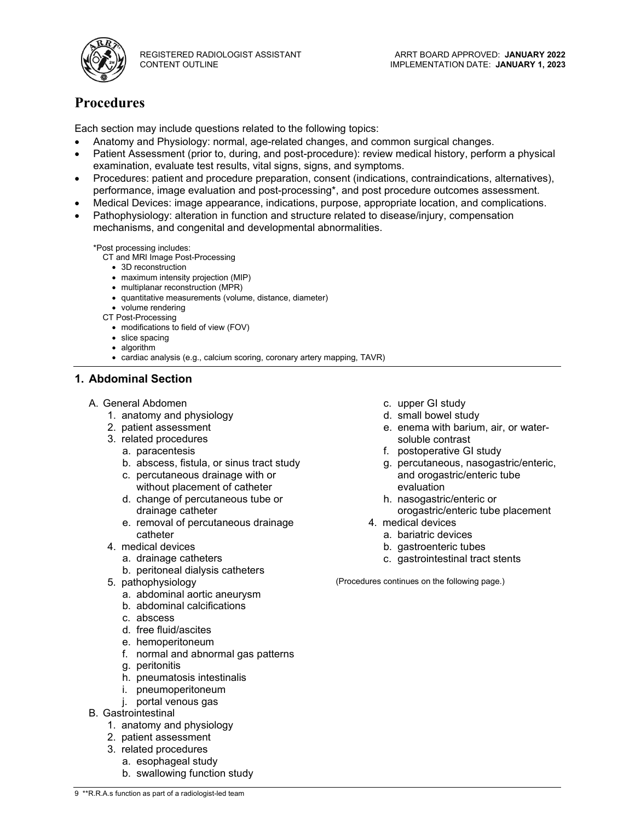

## **Procedures**

Each section may include questions related to the following topics:

- Anatomy and Physiology: normal, age-related changes, and common surgical changes.
- Patient Assessment (prior to, during, and post-procedure): review medical history, perform a physical examination, evaluate test results, vital signs, signs, and symptoms.
- Procedures: patient and procedure preparation, consent (indications, contraindications, alternatives), performance, image evaluation and post-processing\*, and post procedure outcomes assessment.
- Medical Devices: image appearance, indications, purpose, appropriate location, and complications.
- Pathophysiology: alteration in function and structure related to disease/injury, compensation mechanisms, and congenital and developmental abnormalities.

\*Post processing includes:

- CT and MRI Image Post-Processing
	- 3D reconstruction
	- maximum intensity projection (MIP)
	- multiplanar reconstruction (MPR)
	- quantitative measurements (volume, distance, diameter)
- volume rendering
- CT Post-Processing
	- modifications to field of view (FOV)
	- slice spacing
	- algorithm
	- cardiac analysis (e.g., calcium scoring, coronary artery mapping, TAVR)

#### **1. Abdominal Section**

- A. General Abdomen
	- 1. anatomy and physiology
	- 2. patient assessment
	- 3. related procedures
		- a. paracentesis
		- b. abscess, fistula, or sinus tract study
		- c. percutaneous drainage with or without placement of catheter
		- d. change of percutaneous tube or drainage catheter
		- e. removal of percutaneous drainage catheter
	- 4. medical devices
		- a. drainage catheters
		- b. peritoneal dialysis catheters
	- 5. pathophysiology
		- a. abdominal aortic aneurysm
		- b. abdominal calcifications
		- c. abscess
		- d. free fluid/ascites
		- e. hemoperitoneum
		- f. normal and abnormal gas patterns
		- g. peritonitis
		- h. pneumatosis intestinalis
		- i. pneumoperitoneum
		- j. portal venous gas
- B. Gastrointestinal
	- 1. anatomy and physiology
	- 2. patient assessment
	- 3. related procedures
		- a. esophageal study
		- b. swallowing function study
- c. upper GI study
- d. small bowel study
- e. enema with barium, air, or watersoluble contrast
- f. postoperative GI study
- g. percutaneous, nasogastric/enteric, and orogastric/enteric tube evaluation
- h. nasogastric/enteric or orogastric/enteric tube placement
- 4. medical devices
	- a. bariatric devices
	- b. gastroenteric tubes
	- c. gastrointestinal tract stents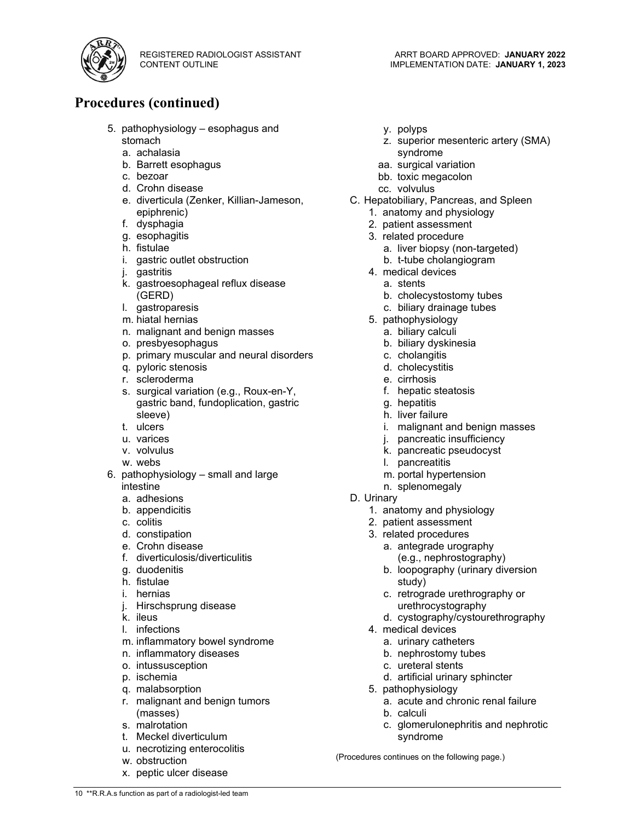

- a. achalasia
- b. Barrett esophagus
- c. bezoar
- d. Crohn disease
- e. diverticula (Zenker, Killian-Jameson, epiphrenic)
- f. dysphagia
- g. esophagitis
- h. fistulae
- i. gastric outlet obstruction
- j. gastritis
- k. gastroesophageal reflux disease (GERD)
- l. gastroparesis
- m. hiatal hernias
- n. malignant and benign masses
- o. presbyesophagus
- p. primary muscular and neural disorders
- q. pyloric stenosis
- r. scleroderma
- s. surgical variation (e.g., Roux-en-Y, gastric band, fundoplication, gastric sleeve)
- t. ulcers
- u. varices
- v. volvulus
- w. webs
- 6. pathophysiology small and large intestine
	- a. adhesions
	- b. appendicitis
	- c. colitis
	- d. constipation
	- e. Crohn disease
	- f. diverticulosis/diverticulitis
	- g. duodenitis
	- h. fistulae
	- i. hernias
	- j. Hirschsprung disease
	- k. ileus
	- l. infections
	- m. inflammatory bowel syndrome
	- n. inflammatory diseases
	- o. intussusception
	- p. ischemia
	- q. malabsorption
	- r. malignant and benign tumors (masses)
	- s. malrotation
	- t. Meckel diverticulum
	- u. necrotizing enterocolitis
	- w. obstruction

10 \*\*R.R.A.s function as part of a radiologist-led team

x. peptic ulcer disease

- y. polyps
- z. superior mesenteric artery (SMA) syndrome
- aa. surgical variation
- bb. toxic megacolon
- cc. volvulus
- C. Hepatobiliary, Pancreas, and Spleen
	- 1. anatomy and physiology
	- 2. patient assessment
	- 3. related procedure
		- a. liver biopsy (non-targeted)
		- b. t-tube cholangiogram
	- 4. medical devices
		- a. stents
		- b. cholecystostomy tubes
		- c. biliary drainage tubes
	- 5. pathophysiology
		- a. biliary calculi
		- b. biliary dyskinesia
		- c. cholangitis
		- d. cholecystitis
		- e. cirrhosis
		- f. hepatic steatosis
		- g. hepatitis
		- h. liver failure
		- i. malignant and benign masses
		- j. pancreatic insufficiency
		- k. pancreatic pseudocyst
		- l. pancreatitis
		- m. portal hypertension
		- n. splenomegaly
- D. Urinary
	- 1. anatomy and physiology
	- 2. patient assessment
	- 3. related procedures
		- a. antegrade urography (e.g., nephrostography)
		- b. loopography (urinary diversion study)
		- c. retrograde urethrography or urethrocystography
		- d. cystography/cystourethrography
	- 4. medical devices
		- a. urinary catheters
		- b. nephrostomy tubes
		- c. ureteral stents
		- d. artificial urinary sphincter
	- 5. pathophysiology
		- a. acute and chronic renal failure
		- b. calculi
		- c. glomerulonephritis and nephrotic syndrome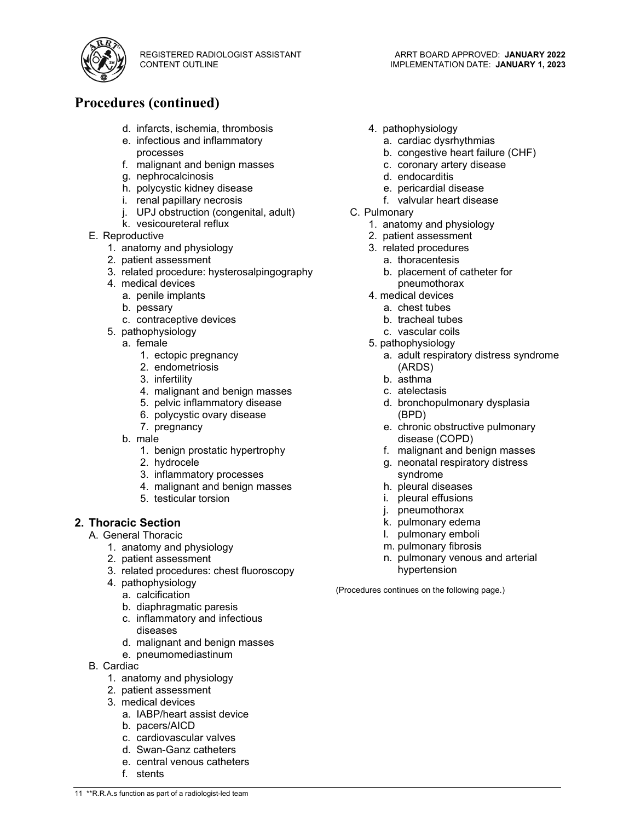

## **Procedures (continued)**

- d. infarcts, ischemia, thrombosis
- e. infectious and inflammatory processes
- f. malignant and benign masses
- g. nephrocalcinosis
- h. polycystic kidney disease
- i. renal papillary necrosis
- j. UPJ obstruction (congenital, adult)
- k. vesicoureteral reflux
- E. Reproductive
	- 1. anatomy and physiology
	- 2. patient assessment
	- 3. related procedure: hysterosalpingography
	- 4. medical devices
		- a. penile implants
		- b. pessary
		- c. contraceptive devices
	- 5. pathophysiology
		- a. female
			- 1. ectopic pregnancy
			- 2. endometriosis
			- 3. infertility
			- 4. malignant and benign masses
			- 5. pelvic inflammatory disease
			- 6. polycystic ovary disease
			- 7. pregnancy
		- b. male
			- 1. benign prostatic hypertrophy
			- 2. hydrocele
			- 3. inflammatory processes
			- 4. malignant and benign masses
			- 5. testicular torsion

#### **2. Thoracic Section**

- A. General Thoracic
	- 1. anatomy and physiology
	- 2. patient assessment
	- 3. related procedures: chest fluoroscopy
	- 4. pathophysiology
		- a. calcification
		- b. diaphragmatic paresis
		- c. inflammatory and infectious diseases
		- d. malignant and benign masses
		- e. pneumomediastinum
- B. Cardiac
	- 1. anatomy and physiology
	- 2. patient assessment
	- 3. medical devices
		- a. IABP/heart assist device
		- b. pacers/AICD
		- c. cardiovascular valves
		- d. Swan-Ganz catheters
		- e. central venous catheters
		- f. stents
- 4. pathophysiology
	- a. cardiac dysrhythmias
	- b. congestive heart failure (CHF)
	- c. coronary artery disease
	- d. endocarditis
	- e. pericardial disease
	- f. valvular heart disease
- C. Pulmonary
	- 1. anatomy and physiology
	- 2. patient assessment
	- 3. related procedures
		- a. thoracentesis
		- b. placement of catheter for pneumothorax
	- 4. medical devices
		- a. chest tubes
		- b. tracheal tubes
		- c. vascular coils
	- 5. pathophysiology
		- a. adult respiratory distress syndrome (ARDS)
		- b. asthma
		- c. atelectasis
		- d. bronchopulmonary dysplasia (BPD)
		- e. chronic obstructive pulmonary disease (COPD)
		- f. malignant and benign masses
		- g. neonatal respiratory distress syndrome
		- h. pleural diseases
		- i. pleural effusions
		- j. pneumothorax
		- k. pulmonary edema
		- l. pulmonary emboli
		- m. pulmonary fibrosis
		- n. pulmonary venous and arterial hypertension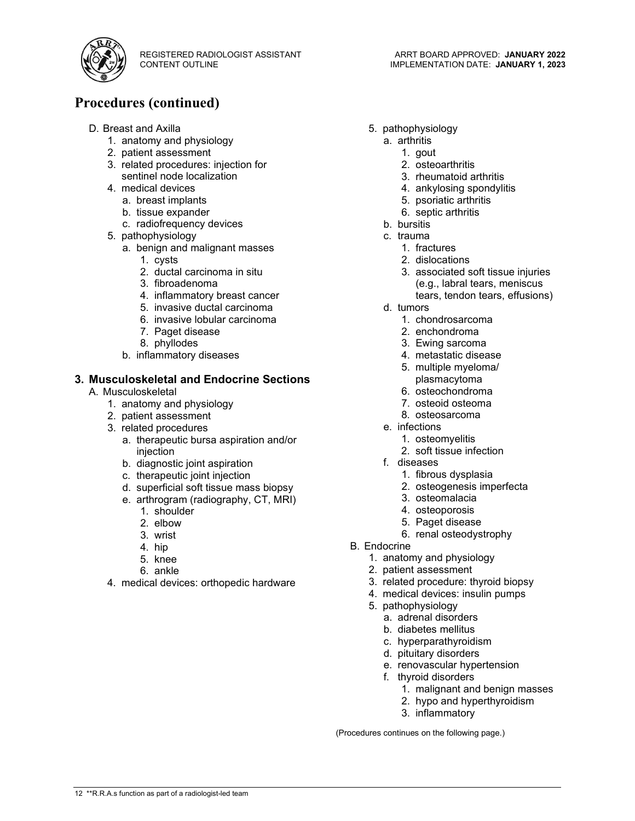

## **Procedures (continued)**

- D. Breast and Axilla
	- 1. anatomy and physiology
	- 2. patient assessment
	- 3. related procedures: injection for sentinel node localization
	- 4. medical devices
		- a. breast implants
			- b. tissue expander
			- c. radiofrequency devices
	- 5. pathophysiology
		- a. benign and malignant masses
			- 1. cysts
			- 2. ductal carcinoma in situ
			- 3. fibroadenoma
			- 4. inflammatory breast cancer
			- 5. invasive ductal carcinoma
			- 6. invasive lobular carcinoma
			- 7. Paget disease
			- 8. phyllodes
		- b. inflammatory diseases

#### **3. Musculoskeletal and Endocrine Sections**

- A. Musculoskeletal
	- 1. anatomy and physiology
	- 2. patient assessment
	- 3. related procedures
		- a. therapeutic bursa aspiration and/or injection
		- b. diagnostic joint aspiration
		- c. therapeutic joint injection
		- d. superficial soft tissue mass biopsy
		- e. arthrogram (radiography, CT, MRI)
			- 1. shoulder
			- 2. elbow
			- 3. wrist
			- 4. hip
			- 5. knee
			- 6. ankle
	- 4. medical devices: orthopedic hardware
- 5. pathophysiology
	- a. arthritis
		- 1. gout
		- 2. osteoarthritis
		- 3. rheumatoid arthritis
		- 4. ankylosing spondylitis
		- 5. psoriatic arthritis
		- 6. septic arthritis
	- b. bursitis
	- c. trauma
		- 1. fractures
		- 2. dislocations
		- 3. associated soft tissue injuries (e.g., labral tears, meniscus
			- tears, tendon tears, effusions)
	- d. tumors
		- 1. chondrosarcoma
		- 2. enchondroma
		- 3. Ewing sarcoma
		- 4. metastatic disease
		- 5. multiple myeloma/ plasmacytoma
		- 6. osteochondroma
		- 7. osteoid osteoma
		- 8. osteosarcoma
	- e. infections
		- 1. osteomyelitis
		- 2. soft tissue infection
	- f. diseases
		- 1. fibrous dysplasia
		- 2. osteogenesis imperfecta
		- 3. osteomalacia
		- 4. osteoporosis
		- 5. Paget disease
		- 6. renal osteodystrophy
- B. Endocrine
	- 1. anatomy and physiology
	- 2. patient assessment
	- 3. related procedure: thyroid biopsy
	- 4. medical devices: insulin pumps
	- 5. pathophysiology
		- a. adrenal disorders
		- b. diabetes mellitus
		- c. hyperparathyroidism
		- d. pituitary disorders
		- e. renovascular hypertension
		- f. thyroid disorders
			- 1. malignant and benign masses
			- 2. hypo and hyperthyroidism
			- 3. inflammatory